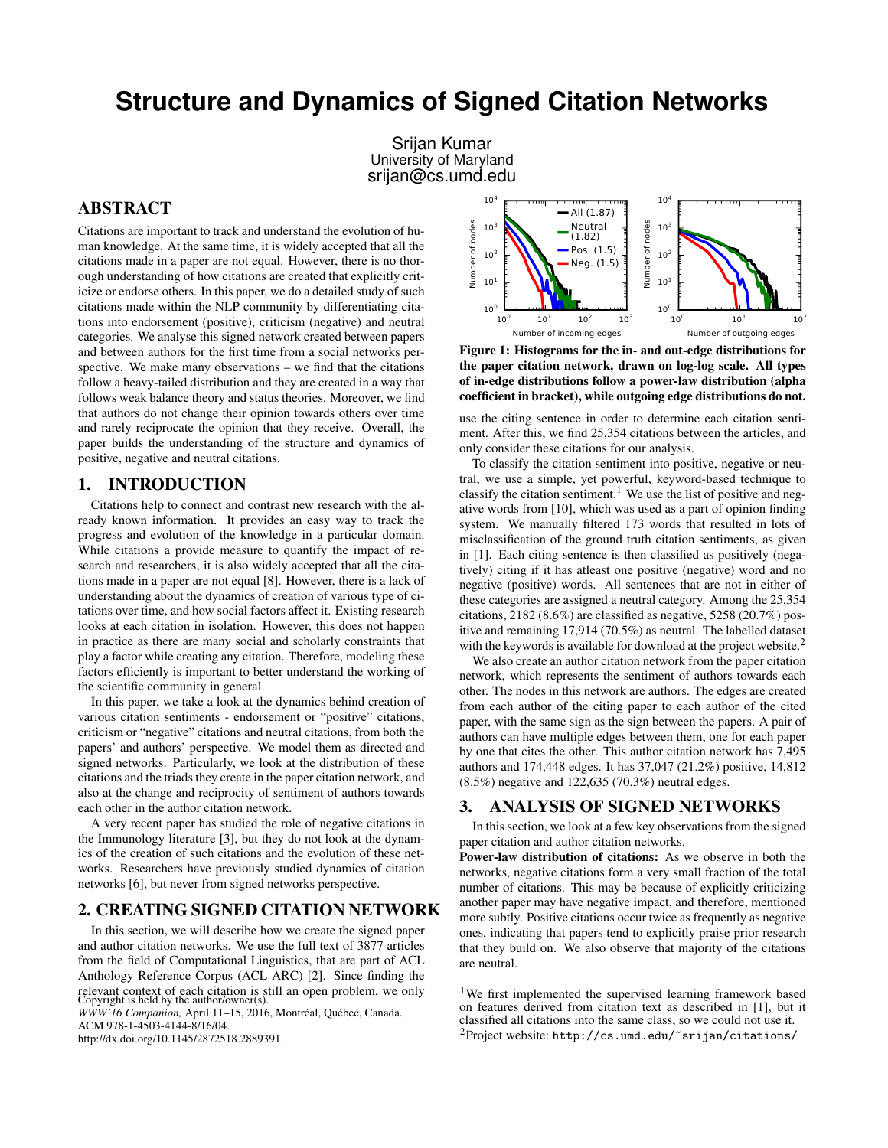# **Structure and Dynamics of Signed Citation Networks**

Srijan Kumar University of Maryland srijan@cs.umd.edu

## ABSTRACT

Citations are important to track and understand the evolution of human knowledge. At the same time, it is widely accepted that all the citations made in a paper are not equal. However, there is no thorough understanding of how citations are created that explicitly criticize or endorse others. In this paper, we do a detailed study of such citations made within the NLP community by differentiating citations into endorsement (positive), criticism (negative) and neutral categories. We analyse this signed network created between papers and between authors for the first time from a social networks perspective. We make many observations – we find that the citations follow a heavy-tailed distribution and they are created in a way that follows weak balance theory and status theories. Moreover, we find that authors do not change their opinion towards others over time and rarely reciprocate the opinion that they receive. Overall, the paper builds the understanding of the structure and dynamics of positive, negative and neutral citations.

### 1. INTRODUCTION

Citations help to connect and contrast new research with the already known information. It provides an easy way to track the progress and evolution of the knowledge in a particular domain. While citations a provide measure to quantify the impact of research and researchers, it is also widely accepted that all the citations made in a paper are not equal [8]. However, there is a lack of understanding about the dynamics of creation of various type of citations over time, and how social factors affect it. Existing research looks at each citation in isolation. However, this does not happen in practice as there are many social and scholarly constraints that play a factor while creating any citation. Therefore, modeling these factors efficiently is important to better understand the working of the scientific community in general.

In this paper, we take a look at the dynamics behind creation of various citation sentiments - endorsement or "positive" citations, criticism or "negative" citations and neutral citations, from both the papers' and authors' perspective. We model them as directed and signed networks. Particularly, we look at the distribution of these citations and the triads they create in the paper citation network, and also at the change and reciprocity of sentiment of authors towards each other in the author citation network.

A very recent paper has studied the role of negative citations in the Immunology literature [3], but they do not look at the dynamics of the creation of such citations and the evolution of these networks. Researchers have previously studied dynamics of citation networks [6], but never from signed networks perspective.

## 2. CREATING SIGNED CITATION NETWORK

In this section, we will describe how we create the signed paper and author citation networks. We use the full text of 3877 articles from the field of Computational Linguistics, that are part of ACL Anthology Reference Corpus (ACL ARC) [2]. Since finding the relevant context of each citation is still an open problem, we only Copyright is held by the author/owner(s). *WWW'16 Companion,* April 11–15, 2016, Montréal, Québec, Canada. ACM 978-1-4503-4144-8/16/04. http://dx.doi.org/10.1145/2872518.2889391.



Figure 1: Histograms for the in- and out-edge distributions for the paper citation network, drawn on log-log scale. All types of in-edge distributions follow a power-law distribution (alpha coefficient in bracket), while outgoing edge distributions do not.

use the citing sentence in order to determine each citation sentiment. After this, we find 25,354 citations between the articles, and only consider these citations for our analysis.

To classify the citation sentiment into positive, negative or neutral, we use a simple, yet powerful, keyword-based technique to classify the citation sentiment.<sup>1</sup> We use the list of positive and negative words from [10], which was used as a part of opinion finding system. We manually filtered 173 words that resulted in lots of misclassification of the ground truth citation sentiments, as given in [1]. Each citing sentence is then classified as positively (negatively) citing if it has atleast one positive (negative) word and no negative (positive) words. All sentences that are not in either of these categories are assigned a neutral category. Among the 25,354 citations, 2182 (8.6%) are classified as negative, 5258 (20.7%) positive and remaining 17,914 (70.5%) as neutral. The labelled dataset with the keywords is available for download at the project website.<sup>2</sup>

We also create an author citation network from the paper citation network, which represents the sentiment of authors towards each other. The nodes in this network are authors. The edges are created from each author of the citing paper to each author of the cited paper, with the same sign as the sign between the papers. A pair of authors can have multiple edges between them, one for each paper by one that cites the other. This author citation network has 7,495 authors and 174,448 edges. It has 37,047 (21.2%) positive, 14,812 (8.5%) negative and 122,635 (70.3%) neutral edges.

## 3. ANALYSIS OF SIGNED NETWORKS

In this section, we look at a few key observations from the signed paper citation and author citation networks.

Power-law distribution of citations: As we observe in both the networks, negative citations form a very small fraction of the total number of citations. This may be because of explicitly criticizing another paper may have negative impact, and therefore, mentioned more subtly. Positive citations occur twice as frequently as negative ones, indicating that papers tend to explicitly praise prior research that they build on. We also observe that majority of the citations are neutral.

<sup>&</sup>lt;sup>1</sup>We first implemented the supervised learning framework based on features derived from citation text as described in [1], but it classified all citations into the same class, so we could not use it. <sup>2</sup>Project website: http://cs.umd.edu/~srijan/citations/